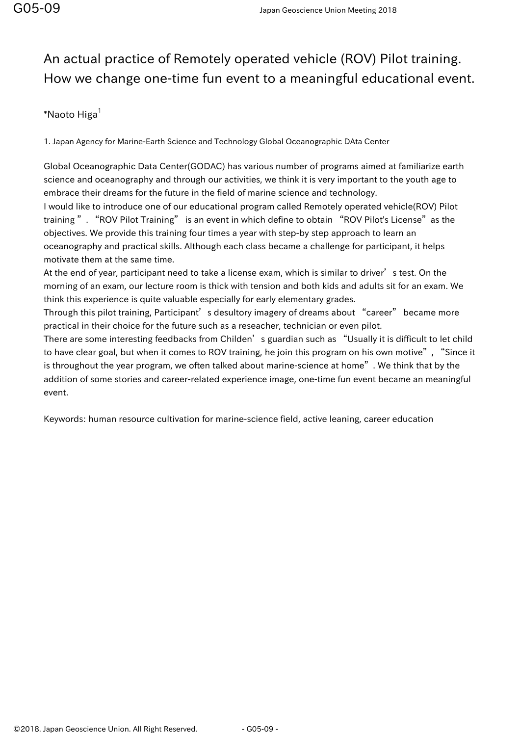## An actual practice of Remotely operated vehicle (ROV) Pilot training. How we change one-time fun event to a meaningful educational event.

## $*$ Naoto Higa $<sup>1</sup>$ </sup>

1. Japan Agency for Marine-Earth Science and Technology Global Oceanographic DAta Center

Global Oceanographic Data Center(GODAC) has various number of programs aimed at familiarize earth science and oceanography and through our activities, we think it is very important to the youth age to embrace their dreams for the future in the field of marine science and technology.

I would like to introduce one of our educational program called Remotely operated vehicle(ROV) Pilot training". "ROV Pilot Training" is an event in which define to obtain "ROV Pilot's License" as the objectives. We provide this training four times a year with step-by step approach to learn an oceanography and practical skills. Although each class became a challenge for participant, it helps motivate them at the same time.

At the end of year, participant need to take a license exam, which is similar to driver's test. On the morning of an exam, our lecture room is thick with tension and both kids and adults sit for an exam. We think this experience is quite valuable especially for early elementary grades.

Through this pilot training, Participant's desultory imagery of dreams about "career" became more practical in their choice for the future such as a reseacher, technician or even pilot.

There are some interesting feedbacks from Childen's guardian such as "Usually it is difficult to let child to have clear goal, but when it comes to ROV training, he join this program on his own motive", "Since it is throughout the year program, we often talked about marine-science at home". We think that by the addition of some stories and career-related experience image, one-time fun event became an meaningful event.

Keywords: human resource cultivation for marine-science field, active leaning, career education